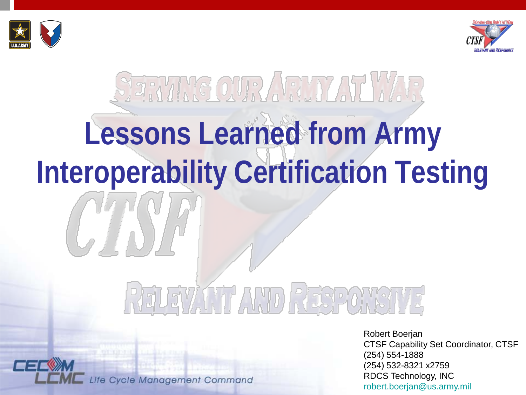



# **SERVING OUR ARMY AT WAR Lessons Learned from Army Interoperability Certification Testing**

## ELEVANT AND RESPONSI

Life Cycle Management Command

Robert Boerjan CTSF Capability Set Coordinator, CTSF (254) 554-1888 (254) 532-8321 x2759 RDCS Technology, INC [robert.boerjan@us.army.mil](mailto:robert.boerjan@us.army.mil)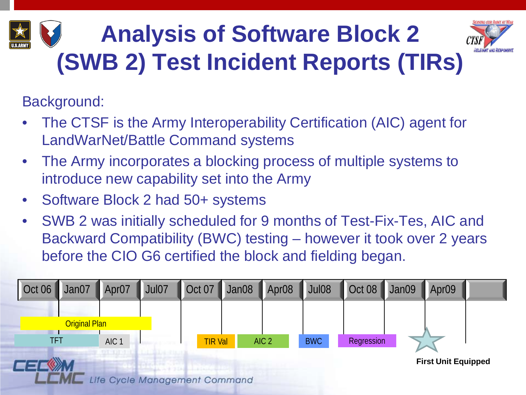## **Analysis of Software Block 2 (SWB 2) Test Incident Reports (TIRs)**



Background:

- The CTSF is the Army Interoperability Certification (AIC) agent for LandWarNet/Battle Command systems
- The Army incorporates a blocking process of multiple systems to introduce new capability set into the Army
- Software Block 2 had 50+ systems
- SWB 2 was initially scheduled for 9 months of Test-Fix-Tes, AIC and Backward Compatibility (BWC) testing – however it took over 2 years before the CIO G6 certified the block and fielding began.

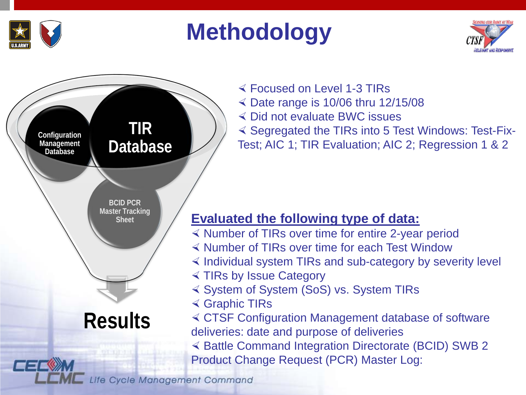

#### **Methodology**





 Focused on Level 1-3 TIRs  $\leq$  Date range is 10/06 thru 12/15/08 Did not evaluate BWC issues  $\triangleleft$  Segregated the TIRs into 5 Test Windows: Test-Fix-Test; AIC 1; TIR Evaluation; AIC 2; Regression 1 & 2

#### **Evaluated the following type of data:**

- $\leq$  Number of TIRs over time for entire 2-year period
- Number of TIRs over time for each Test Window
- $\leq$  Individual system TIRs and sub-category by severity level
- TIRs by Issue Category
- System of System (SoS) vs. System TIRs
- Graphic TIRs

 CTSF Configuration Management database of software deliveries: date and purpose of deliveries

 $\leq$  Battle Command Integration Directorate (BCID) SWB 2 Product Change Request (PCR) Master Log: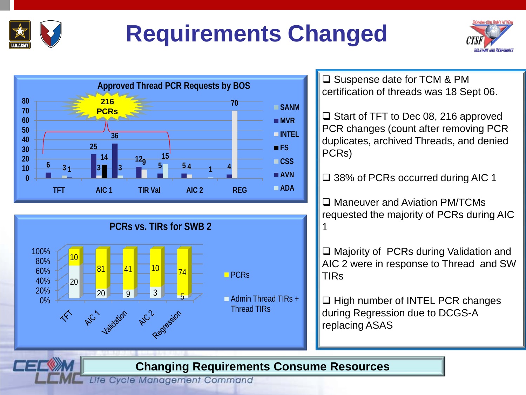

#### **Requirements Changed**







□ Suspense date for TCM & PM certification of threads was 18 Sept 06.

 $\Box$  Start of TFT to Dec 08, 216 approved PCR changes (count after removing PCR duplicates, archived Threads, and denied PCRs)

□ 38% of PCRs occurred during AIC 1

□ Maneuver and Aviation PM/TCMs requested the majority of PCRs during AIC 1

□ Majority of PCRs during Validation and AIC 2 were in response to Thread and SW TIRs

 $\Box$  High number of INTEL PCR changes during Regression due to DCGS-A replacing ASAS

#### **Changing Requirements Consume Resources**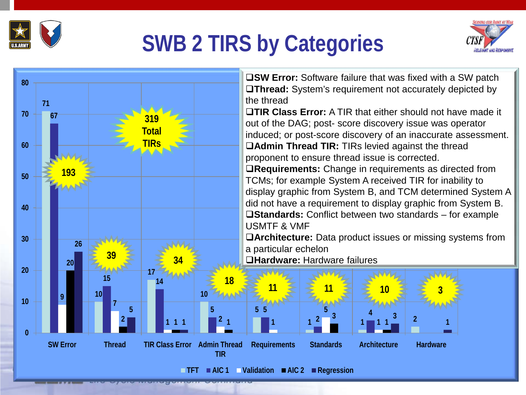

#### **SWB 2 TIRS by Categories**



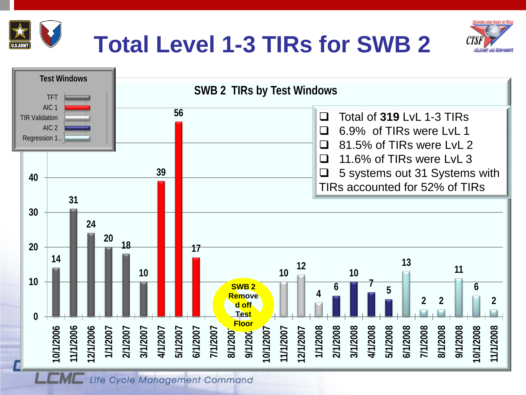



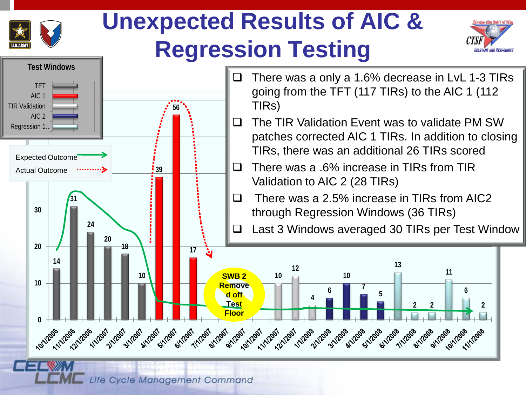

#### **Unexpected Results of AIC & Regression Testing**



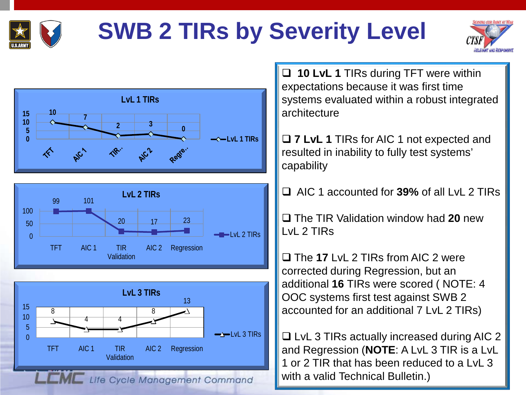

### **SWB 2 TIRs by Severity Level**







Validation

Life Cycle Management Command

 **10 LvL 1** TIRs during TFT were within expectations because it was first time systems evaluated within a robust integrated architecture

 **7 LvL 1** TIRs for AIC 1 not expected and resulted in inability to fully test systems' capability

AIC 1 accounted for **39%** of all LvL 2 TIRs

 The TIR Validation window had **20** new LvL 2 TIRs

□ The 17 LvL 2 TIRs from AIC 2 were corrected during Regression, but an additional **16** TIRs were scored ( NOTE: 4 OOC systems first test against SWB 2 accounted for an additional 7 LvL 2 TIRs)

 $\Box$  LvL 3 TIRs actually increased during AIC 2 and Regression (**NOTE**: A LvL 3 TIR is a LvL 1 or 2 TIR that has been reduced to a LvL 3 with a valid Technical Bulletin.)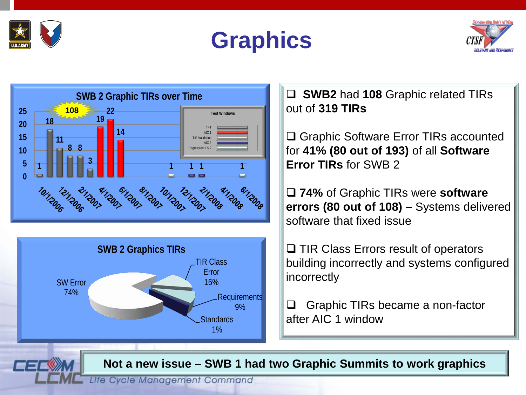









**SWB 2 Graphic TIRs over Time SWB2** had **108** Graphic related TIRs out of **319 TIRs**

> □ Graphic Software Error TIRs accounted for **41% (80 out of 193)** of all **Software Error TIRs** for SWB 2

 **74%** of Graphic TIRs were **software errors (80 out of 108) –** Systems delivered software that fixed issue

 $\Box$  TIR Class Errors result of operators building incorrectly and systems configured incorrectly

□ Graphic TIRs became a non-factor after AIC 1 window

**Not a new issue – SWB 1 had two Graphic Summits to work graphics**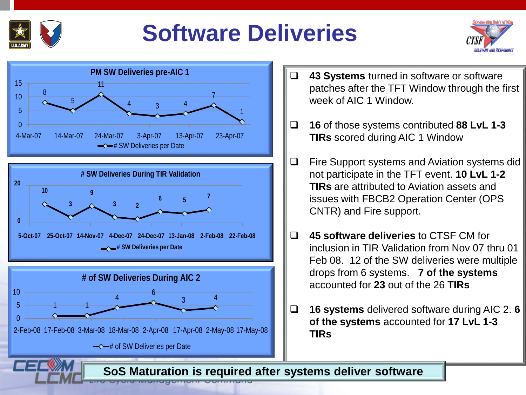

#### **Software Deliveries**





- **43 Systems** turned in software or software patches after the TFT Window through the first week of AIC 1 Window.
- **16** of those systems contributed **88 LvL 1-3 TIRs** scored during AIC 1 Window
- $\Box$  Fire Support systems and Aviation systems did not participate in the TFT event. **10 LvL 1-2 TIRs** are attributed to Aviation assets and issues with FBCB2 Operation Center (OPS CNTR) and Fire support.
- **45 software deliveries** to CTSF CM for inclusion in TIR Validation from Nov 07 thru 01 Feb 08. 12 of the SW deliveries were multiple drops from 6 systems. **7 of the systems**  accounted for **23** out of the 26 **TIRs**
- **16 systems** delivered software during AIC 2. **6 of the systems** accounted for **17 LvL 1-3 TIRs**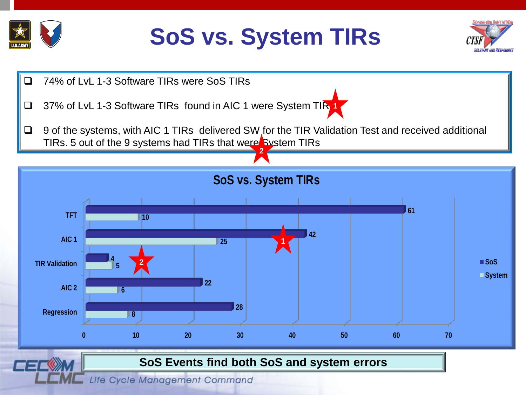

#### **SoS vs. System TIRs**